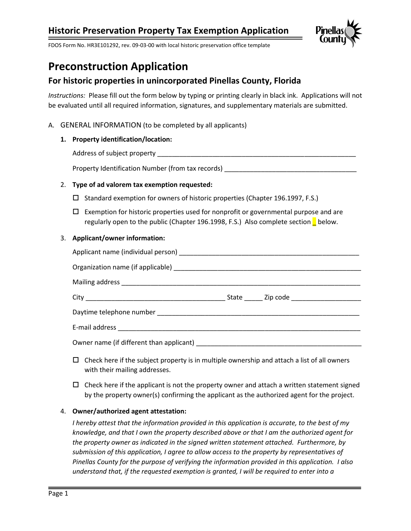

FDOS Form No. HR3E101292, rev. 09-03-00 with local historic preservation office template

# **Preconstruction Application**

## **For historic properties in unincorporated Pinellas County, Florida**

*Instructions:* Please fill out the form below by typing or printing clearly in black ink. Applications will not be evaluated until all required information, signatures, and supplementary materials are submitted.

### A. GENERAL INFORMATION (to be completed by all applicants)

### **1. Property identification/location:**

Address of subject property

Property Identification Number (from tax records)

### 2. **Type of ad valorem tax exemption requested:**

- $\square$  Standard exemption for owners of historic properties (Chapter 196.1997, F.S.)
- $\Box$  Exemption for historic properties used for nonprofit or governmental purpose and are regularly open to the public (Chapter 196.1998, F.S.) Also complete section below.

#### 3. **Applicant/owner information:**

- $\Box$  Check here if the subject property is in multiple ownership and attach a list of all owners with their mailing addresses.
- $\Box$  Check here if the applicant is not the property owner and attach a written statement signed by the property owner(s) confirming the applicant as the authorized agent for the project.

#### 4. **Owner/authorized agent attestation:**

*I hereby attest that the information provided in this application is accurate, to the best of my knowledge, and that I own the property described above or that I am the authorized agent for the property owner as indicated in the signed written statement attached. Furthermore, by submission of this application, I agree to allow access to the property by representatives of Pinellas County for the purpose of verifying the information provided in this application. I also understand that, if the requested exemption is granted, I will be required to enter into a*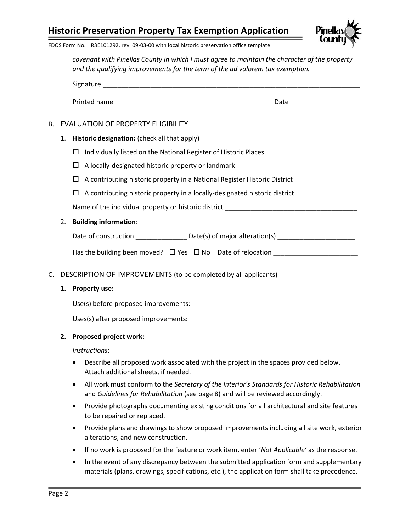

FDOS Form No. HR3E101292, rev. 09-03-00 with local historic preservation office template

*covenant with Pinellas County in which I must agree to maintain the character of the property and the qualifying improvements for the term of the ad valorem tax exemption.*

| Signature    |      |  |
|--------------|------|--|
|              |      |  |
| Printed name | Date |  |

### B. EVALUATION OF PROPERTY ELIGIBILITY

- 1. **Historic designation:** (check all that apply)
	- $\Box$  Individually listed on the National Register of Historic Places
	- $\Box$  A locally-designated historic property or landmark
	- $\Box$  A contributing historic property in a National Register Historic District
	- $\Box$  A contributing historic property in a locally-designated historic district

Name of the individual property or historic district **with a set of the individual** 

### 2. **Building information**:

| Date of construction | Date(s) of major alteration(s) |  |
|----------------------|--------------------------------|--|
|----------------------|--------------------------------|--|

|  | Has the building been moved? $\Box$ Yes $\Box$ No Date of relocation |  |  |  |
|--|----------------------------------------------------------------------|--|--|--|
|--|----------------------------------------------------------------------|--|--|--|

### C. DESCRIPTION OF IMPROVEMENTS (to be completed by all applicants)

#### **1. Property use:**

Use(s) before proposed improvements: \_\_\_\_\_\_\_\_\_\_\_\_\_\_\_\_\_\_\_\_\_\_\_\_\_\_\_\_\_\_\_\_\_\_\_\_\_\_\_\_\_\_\_\_\_\_

Uses(s) after proposed improvements: \_\_\_\_\_\_\_\_\_\_\_\_\_\_\_\_\_\_\_\_\_\_\_\_\_\_\_\_\_\_\_\_\_\_\_\_\_\_\_\_\_\_\_\_\_\_

#### **2. Proposed project work:**

*Instructions*:

- Describe all proposed work associated with the project in the spaces provided below. Attach additional sheets, if needed.
- All work must conform to the *Secretary of the Interior's Standards for Historic Rehabilitation* and *Guidelines for Rehabilitation* (see page 8) and will be reviewed accordingly.
- Provide photographs documenting existing conditions for all architectural and site features to be repaired or replaced.
- Provide plans and drawings to show proposed improvements including all site work, exterior alterations, and new construction.
- If no work is proposed for the feature or work item, enter '*Not Applicable'* as the response.
- In the event of any discrepancy between the submitted application form and supplementary materials (plans, drawings, specifications, etc.), the application form shall take precedence.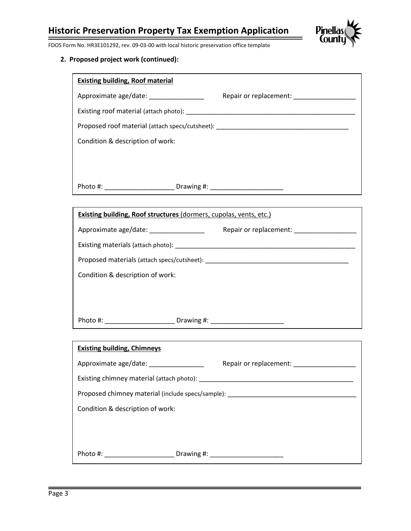

FDOS Form No. HR3E101292, rev. 09-03-00 with local historic preservation office template

| <b>Existing building, Roof material</b>                                          |            |                        |
|----------------------------------------------------------------------------------|------------|------------------------|
| Approximate age/date:                                                            |            | Repair or replacement: |
|                                                                                  |            |                        |
| Proposed roof material (attach specs/cutsheet): ________________________________ |            |                        |
| Condition & description of work:                                                 |            |                        |
|                                                                                  |            |                        |
|                                                                                  |            |                        |
| Photo #:                                                                         | Drawing #: |                        |

| <b>Existing building, Roof structures (dormers, cupolas, vents, etc.)</b> |                        |
|---------------------------------------------------------------------------|------------------------|
| Approximate age/date: ________________                                    | Repair or replacement: |
|                                                                           |                        |
| Proposed materials (attach specs/cutsheet):                               |                        |
| Condition & description of work:                                          |                        |
|                                                                           |                        |
|                                                                           |                        |
| Photo #: Drawing #: Drawing #:                                            |                        |

| <b>Existing building, Chimneys</b>                                                                                                                                                                                             |                        |  |
|--------------------------------------------------------------------------------------------------------------------------------------------------------------------------------------------------------------------------------|------------------------|--|
| Approximate age/date:                                                                                                                                                                                                          | Repair or replacement: |  |
|                                                                                                                                                                                                                                |                        |  |
| Proposed chimney material (include specs/sample): example of the state of the state of the state of the state of the state of the state of the state of the state of the state of the state of the state of the state of the s |                        |  |
| Condition & description of work:                                                                                                                                                                                               |                        |  |
|                                                                                                                                                                                                                                |                        |  |
|                                                                                                                                                                                                                                |                        |  |
| Photo #:<br><b>Example 1</b> Drawing #:                                                                                                                                                                                        |                        |  |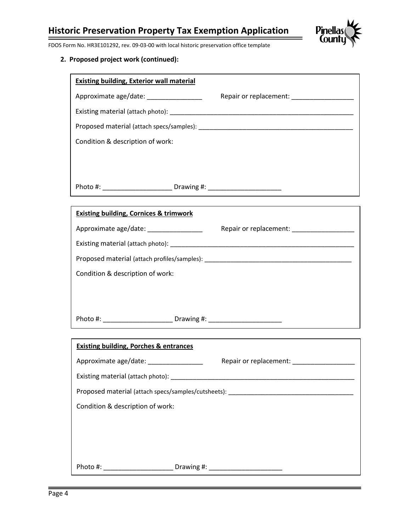

FDOS Form No. HR3E101292, rev. 09-03-00 with local historic preservation office template

| <b>Existing building, Exterior wall material</b> |                                                |
|--------------------------------------------------|------------------------------------------------|
| Approximate age/date:                            | Repair or replacement:                         |
|                                                  |                                                |
|                                                  | Proposed material (attach specs/samples): Non- |
| Condition & description of work:                 |                                                |
|                                                  |                                                |
|                                                  |                                                |
| Photo #:                                         | Drawing #:                                     |

| <b>Existing building, Cornices &amp; trimwork</b>                                                                                                                                                                             |                                            |
|-------------------------------------------------------------------------------------------------------------------------------------------------------------------------------------------------------------------------------|--------------------------------------------|
| Approximate age/date: _________________                                                                                                                                                                                       | Repair or replacement: ___________________ |
| Existing material (attach photo): Notified a material contract of the state of the state of the state of the state of the state of the state of the state of the state of the state of the state of the state of the state of |                                            |
| Proposed material (attach profiles/samples): ___________________________________                                                                                                                                              |                                            |
| Condition & description of work:                                                                                                                                                                                              |                                            |
|                                                                                                                                                                                                                               |                                            |
|                                                                                                                                                                                                                               |                                            |
| Photo #: Drawing #: Drawing #:                                                                                                                                                                                                |                                            |

| <b>Existing building, Porches &amp; entrances</b> |                                                                                                                                                                                                                                |
|---------------------------------------------------|--------------------------------------------------------------------------------------------------------------------------------------------------------------------------------------------------------------------------------|
| Approximate age/date: ________________            | Repair or replacement:                                                                                                                                                                                                         |
|                                                   | Existing material (attach photo): National Contract of the Contract of the Contract of the Contract of the Contract of the Contract of the Contract of the Contract of the Contract of the Contract of the Contract of the Con |
|                                                   | Proposed material (attach specs/samples/cutsheets): ____________________________                                                                                                                                               |
| Condition & description of work:                  |                                                                                                                                                                                                                                |
|                                                   |                                                                                                                                                                                                                                |
|                                                   |                                                                                                                                                                                                                                |
|                                                   |                                                                                                                                                                                                                                |
|                                                   | Photo #: Drawing #: Drawing #:                                                                                                                                                                                                 |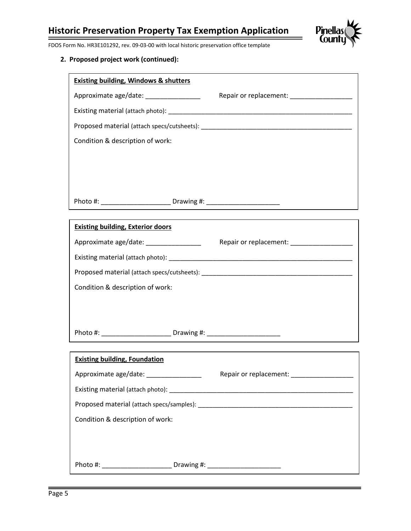

FDOS Form No. HR3E101292, rev. 09-03-00 with local historic preservation office template

| <b>Existing building, Windows &amp; shutters</b> |                        |
|--------------------------------------------------|------------------------|
| Approximate age/date: _______________            | Repair or replacement: |
|                                                  |                        |
|                                                  |                        |
| Condition & description of work:                 |                        |
|                                                  |                        |
|                                                  |                        |
|                                                  |                        |
| Photo #: Drawing #: Drawing #:                   |                        |

| <b>Existing building, Exterior doors</b> |                        |
|------------------------------------------|------------------------|
| Approximate age/date:                    | Repair or replacement: |
| Existing material (attach photo):        |                        |
|                                          |                        |
| Condition & description of work:         |                        |
|                                          |                        |
|                                          |                        |
| Photo #: Drawing #:                      |                        |

| <b>Existing building, Foundation</b>                                             |                                           |
|----------------------------------------------------------------------------------|-------------------------------------------|
| Approximate age/date: __________________                                         | Repair or replacement: __________________ |
|                                                                                  |                                           |
|                                                                                  |                                           |
| Condition & description of work:                                                 |                                           |
|                                                                                  |                                           |
|                                                                                  |                                           |
| Photo #: __________________________Drawing #: __________________________________ |                                           |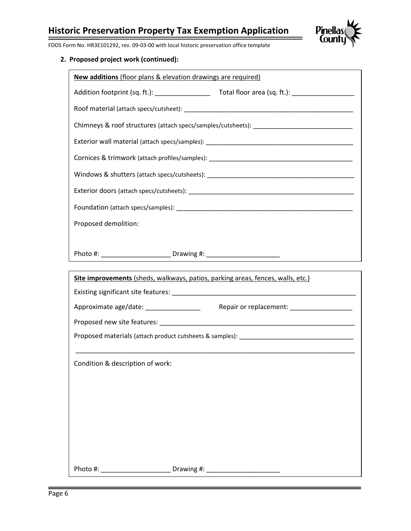

FDOS Form No. HR3E101292, rev. 09-03-00 with local historic preservation office template

## **2. Proposed project work (continued):**

| New additions (floor plans & elevation drawings are required)                             |  |  |  |  |
|-------------------------------------------------------------------------------------------|--|--|--|--|
|                                                                                           |  |  |  |  |
|                                                                                           |  |  |  |  |
|                                                                                           |  |  |  |  |
|                                                                                           |  |  |  |  |
| Cornices & trimwork (attach profiles/samples): __________________________________         |  |  |  |  |
|                                                                                           |  |  |  |  |
|                                                                                           |  |  |  |  |
|                                                                                           |  |  |  |  |
| Proposed demolition:                                                                      |  |  |  |  |
|                                                                                           |  |  |  |  |
| Photo #: _____________________________Drawing #: _______________________________          |  |  |  |  |
| Site improvements (sheds, walkways, patios, parking areas, fences, walls, etc.)           |  |  |  |  |
|                                                                                           |  |  |  |  |
| Approximate age/date: ___________________<br>Repair or replacement: _____________________ |  |  |  |  |
|                                                                                           |  |  |  |  |
|                                                                                           |  |  |  |  |
| Condition & description of work:                                                          |  |  |  |  |

Photo #: \_\_\_\_\_\_\_\_\_\_\_\_\_\_\_\_\_\_\_\_\_\_\_\_\_\_\_\_\_\_\_\_\_\_ Drawing #: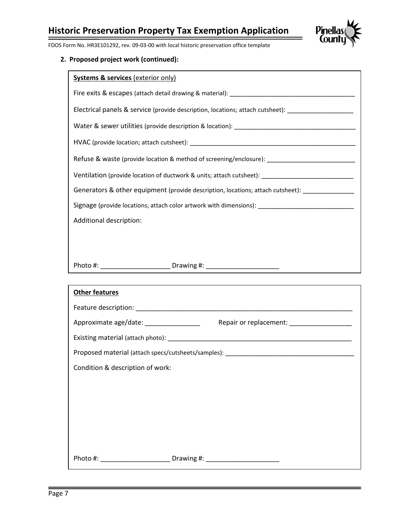

FDOS Form No. HR3E101292, rev. 09-03-00 with local historic preservation office template

| <b>Systems &amp; services (exterior only)</b>                                                       |  |  |  |
|-----------------------------------------------------------------------------------------------------|--|--|--|
|                                                                                                     |  |  |  |
| Electrical panels & service (provide description, locations; attach cutsheet): ___________________  |  |  |  |
|                                                                                                     |  |  |  |
|                                                                                                     |  |  |  |
| Refuse & waste (provide location & method of screening/enclosure): ________________________________ |  |  |  |
| Ventilation (provide location of ductwork & units; attach cutsheet): ______________________________ |  |  |  |
| Generators & other equipment (provide description, locations; attach cutsheet):                     |  |  |  |
| Signage (provide locations; attach color artwork with dimensions): ________________________________ |  |  |  |
| Additional description:                                                                             |  |  |  |
|                                                                                                     |  |  |  |
|                                                                                                     |  |  |  |
|                                                                                                     |  |  |  |

| <b>Other features</b>                                                            |  |  |
|----------------------------------------------------------------------------------|--|--|
|                                                                                  |  |  |
| Approximate age/date: __________________                                         |  |  |
|                                                                                  |  |  |
|                                                                                  |  |  |
| Condition & description of work:                                                 |  |  |
|                                                                                  |  |  |
|                                                                                  |  |  |
|                                                                                  |  |  |
|                                                                                  |  |  |
|                                                                                  |  |  |
| Photo #: ___________________________Drawing #: _________________________________ |  |  |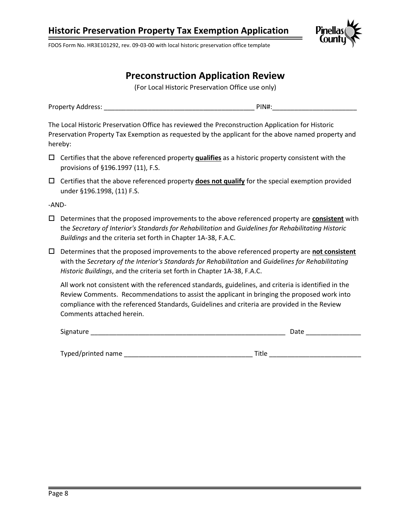

FDOS Form No. HR3E101292, rev. 09-03-00 with local historic preservation office template

## **Preconstruction Application Review**

(For Local Historic Preservation Office use only)

Property Address: example and the set of the set of the PIN#:

The Local Historic Preservation Office has reviewed the Preconstruction Application for Historic Preservation Property Tax Exemption as requested by the applicant for the above named property and hereby:

- Certifies that the above referenced property **qualifies** as a historic property consistent with the provisions of §196.1997 (11), F.S.
- Certifies that the above referenced property **does not qualify** for the special exemption provided under §196.1998, (11) F.S.

-AND-

- Determines that the proposed improvements to the above referenced property are **consistent** with the *Secretary of Interior's Standards for Rehabilitation* and *Guidelines for Rehabilitating Historic Buildings* and the criteria set forth in Chapter 1A-38, F.A.C.
- Determines that the proposed improvements to the above referenced property are **not consistent** with the *Secretary of the Interior's Standards for Rehabilitation* and *Guidelines for Rehabilitating Historic Buildings*, and the criteria set forth in Chapter 1A-38, F.A.C.

All work not consistent with the referenced standards, guidelines, and criteria is identified in the Review Comments. Recommendations to assist the applicant in bringing the proposed work into compliance with the referenced Standards, Guidelines and criteria are provided in the Review Comments attached herein.

| Signature | Date |  |
|-----------|------|--|
|           |      |  |
|           |      |  |

Typed/printed name \_\_\_\_\_\_\_\_\_\_\_\_\_\_\_\_\_\_\_\_\_\_\_\_\_\_\_\_\_\_\_\_\_\_\_ Title \_\_\_\_\_\_\_\_\_\_\_\_\_\_\_\_\_\_\_\_\_\_\_\_\_